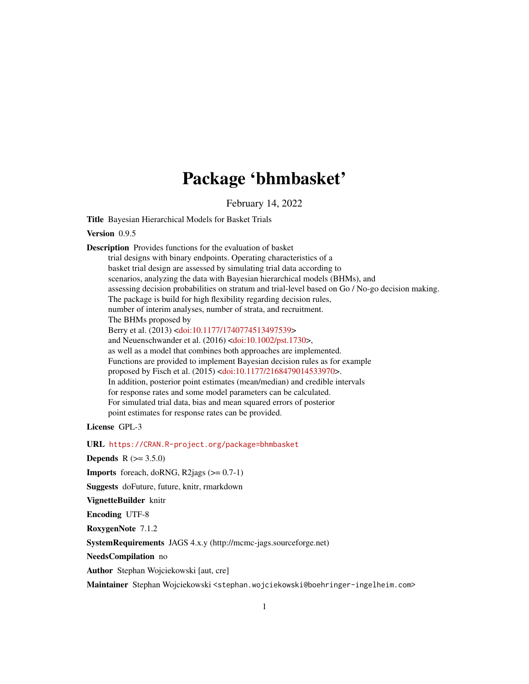# Package 'bhmbasket'

February 14, 2022

<span id="page-0-0"></span>Title Bayesian Hierarchical Models for Basket Trials

Version 0.9.5

Description Provides functions for the evaluation of basket trial designs with binary endpoints. Operating characteristics of a basket trial design are assessed by simulating trial data according to scenarios, analyzing the data with Bayesian hierarchical models (BHMs), and assessing decision probabilities on stratum and trial-level based on Go / No-go decision making. The package is build for high flexibility regarding decision rules, number of interim analyses, number of strata, and recruitment. The BHMs proposed by Berry et al. (2013) [<doi:10.1177/1740774513497539>](https://doi.org/10.1177/1740774513497539) and Neuenschwander et al. (2016) [<doi:10.1002/pst.1730>](https://doi.org/10.1002/pst.1730), as well as a model that combines both approaches are implemented. Functions are provided to implement Bayesian decision rules as for example proposed by Fisch et al. (2015) [<doi:10.1177/2168479014533970>](https://doi.org/10.1177/2168479014533970). In addition, posterior point estimates (mean/median) and credible intervals for response rates and some model parameters can be calculated. For simulated trial data, bias and mean squared errors of posterior point estimates for response rates can be provided.

License GPL-3

URL <https://CRAN.R-project.org/package=bhmbasket>

**Depends**  $R (= 3.5.0)$ 

**Imports** foreach, doRNG, R2jags  $(>= 0.7-1)$ 

Suggests doFuture, future, knitr, rmarkdown

VignetteBuilder knitr

Encoding UTF-8

RoxygenNote 7.1.2

SystemRequirements JAGS 4.x.y (http://mcmc-jags.sourceforge.net)

NeedsCompilation no

Author Stephan Wojciekowski [aut, cre]

Maintainer Stephan Wojciekowski <stephan.wojciekowski@boehringer-ingelheim.com>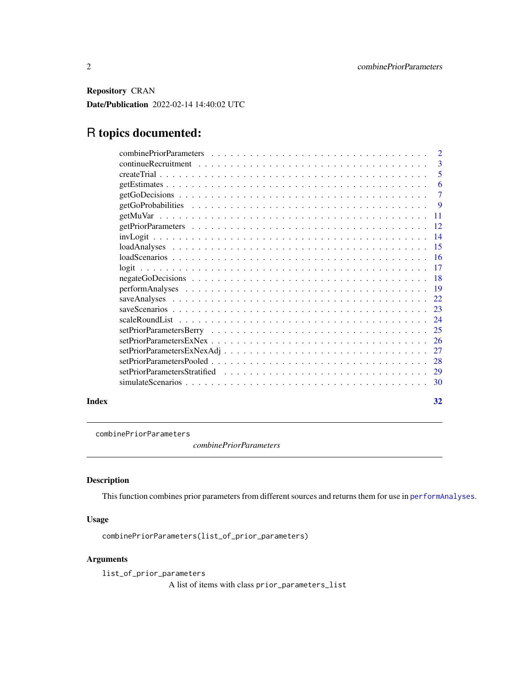<span id="page-1-0"></span>Repository CRAN Date/Publication 2022-02-14 14:40:02 UTC

# R topics documented:

|       | $\overline{\phantom{a}}$ |
|-------|--------------------------|
|       |                          |
|       | - 6                      |
|       |                          |
|       | - 9                      |
|       |                          |
|       |                          |
|       |                          |
|       |                          |
|       |                          |
|       |                          |
|       |                          |
|       |                          |
|       |                          |
|       |                          |
|       |                          |
|       |                          |
|       |                          |
|       |                          |
|       |                          |
|       |                          |
|       |                          |
| Index | 32                       |

<span id="page-1-1"></span>combinePriorParameters

*combinePriorParameters*

# Description

This function combines prior parameters from different sources and returns them for use in [performAnalyses](#page-18-1).

# Usage

```
combinePriorParameters(list_of_prior_parameters)
```
# Arguments

list\_of\_prior\_parameters A list of items with class prior\_parameters\_list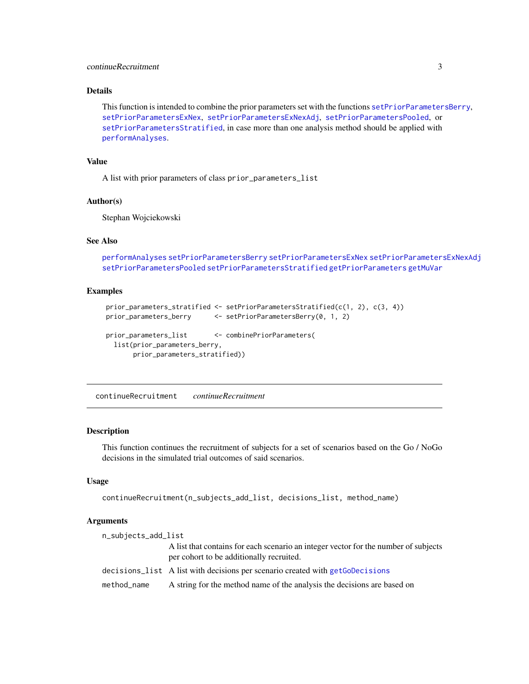### <span id="page-2-0"></span>continueRecruitment 3

# Details

```
This function is intended to combine the prior parameters set with the functions setPriorParametersBerry,
setPriorParametersExNex, setPriorParametersExNexAdj, setPriorParametersPooled, or
setPriorParametersStratified, in case more than one analysis method should be applied with
performAnalyses.
```
### Value

A list with prior parameters of class prior\_parameters\_list

#### Author(s)

Stephan Wojciekowski

#### See Also

```
performAnalyses setPriorParametersBerry setPriorParametersExNex setPriorParametersExNexAdj
setPriorParametersPooled setPriorParametersStratified getPriorParameters getMuVar
```
#### Examples

```
prior_parameters_stratified <- setPriorParametersStratified(c(1, 2), c(3, 4))
prior_parameters_berry <- setPriorParametersBerry(0, 1, 2)
prior_parameters_list <- combinePriorParameters(
 list(prior_parameters_berry,
      prior_parameters_stratified))
```
<span id="page-2-1"></span>continueRecruitment *continueRecruitment*

#### Description

This function continues the recruitment of subjects for a set of scenarios based on the Go / NoGo decisions in the simulated trial outcomes of said scenarios.

#### Usage

```
continueRecruitment(n_subjects_add_list, decisions_list, method_name)
```
#### Arguments

| n_subjects_add_list |                                                                                                                                 |
|---------------------|---------------------------------------------------------------------------------------------------------------------------------|
|                     | A list that contains for each scenario an integer vector for the number of subjects<br>per cohort to be additionally recruited. |
|                     | decisions_list A list with decisions per scenario created with getGoDecisions                                                   |
| method_name         | A string for the method name of the analysis the decisions are based on                                                         |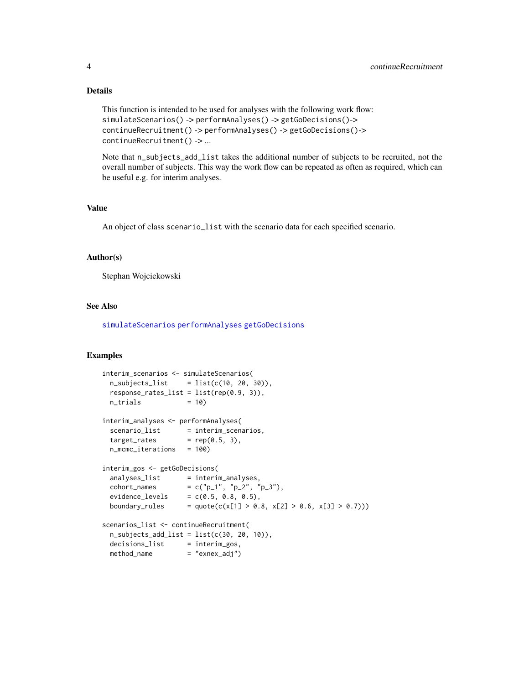# Details

```
This function is intended to be used for analyses with the following work flow:
simulateScenarios() -> performAnalyses() -> getGoDecisions()->
continueRecruitment() -> performAnalyses() -> getGoDecisions()->
continueRecruitment() -> ...
```
Note that n\_subjects\_add\_list takes the additional number of subjects to be recruited, not the overall number of subjects. This way the work flow can be repeated as often as required, which can be useful e.g. for interim analyses.

#### Value

An object of class scenario\_list with the scenario data for each specified scenario.

#### Author(s)

Stephan Wojciekowski

# See Also

[simulateScenarios](#page-29-1) [performAnalyses](#page-18-1) [getGoDecisions](#page-6-1)

```
interim_scenarios <- simulateScenarios(
 n\_subjets\_list = list(c(10, 20, 30)),
 response_{\text{rates}\_list} = list(rep(0.9, 3)),n_{\text{t}} \leq 10interim_analyses <- performAnalyses(
  scenario_list = interim_scenarios,
  target_rates = rep(0.5, 3),n_mcmc_iterations = 100)
interim_gos <- getGoDecisions(
 \begin{minipage}{0.9\linewidth} \texttt{analysis} & \texttt{interim\_analyses} \texttt{,} \end{minipage}cohort_names = c("p_1", "p_2", "p_3"),
  evidence\_levels = c(0.5, 0.8, 0.5),boundary_rules = quote(c(x[1] > 0.8, x[2] > 0.6, x[3] > 0.7)))
scenarios_list <- continueRecruitment(
 n\_subjets\_add\_list = list(c(30, 20, 10)),decisions_list = interim_gos,
 method_name = "exnex_adj")
```
<span id="page-3-0"></span>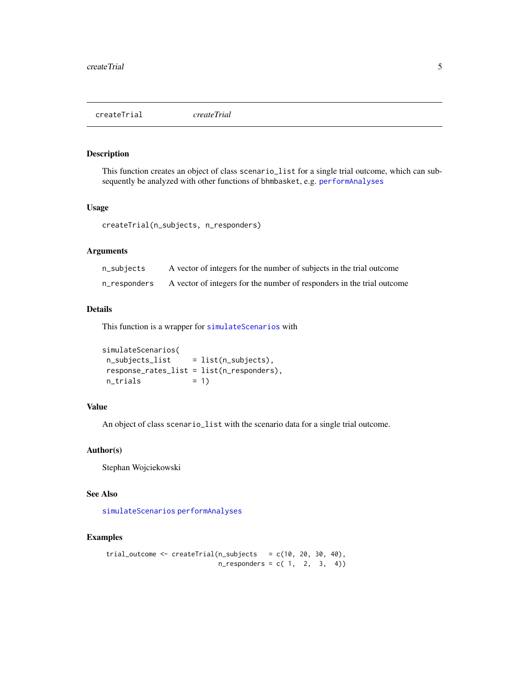<span id="page-4-1"></span><span id="page-4-0"></span>createTrial *createTrial*

#### Description

This function creates an object of class scenario\_list for a single trial outcome, which can subsequently be analyzed with other functions of bhmbasket, e.g. [performAnalyses](#page-18-1)

#### Usage

createTrial(n\_subjects, n\_responders)

# Arguments

| n_subjects   | A vector of integers for the number of subjects in the trial outcome   |
|--------------|------------------------------------------------------------------------|
| n_responders | A vector of integers for the number of responders in the trial outcome |

# Details

This function is a wrapper for [simulateScenarios](#page-29-1) with

```
simulateScenarios(
n_subjects_list = list(n_subjects),
response_rates_list = list(n_responders),
n_{\text{trials}} = 1)
```
# Value

An object of class scenario\_list with the scenario data for a single trial outcome.

#### Author(s)

Stephan Wojciekowski

# See Also

[simulateScenarios](#page-29-1) [performAnalyses](#page-18-1)

```
trial_outcome \leq createTrial(n_subjects = c(10, 20, 30, 40),
                           n_{responders} = c(1, 2, 3, 4)
```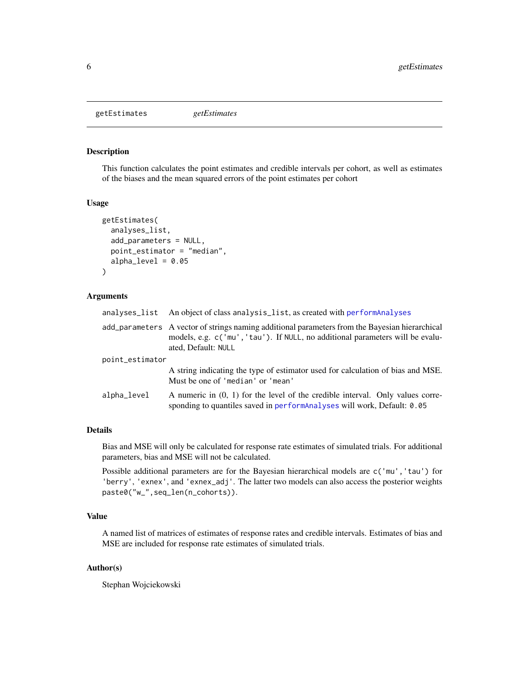<span id="page-5-0"></span>getEstimates *getEstimates*

# Description

This function calculates the point estimates and credible intervals per cohort, as well as estimates of the biases and the mean squared errors of the point estimates per cohort

#### Usage

```
getEstimates(
  analyses_list,
  add_parameters = NULL,
  point_estimator = "median",
  alpha_level = 0.05)
```
#### Arguments

| analyses_list   | An object of class analysis_list, as created with performAnalyses                                                                                                                                      |
|-----------------|--------------------------------------------------------------------------------------------------------------------------------------------------------------------------------------------------------|
|                 | add_parameters A vector of strings naming additional parameters from the Bayesian hierarchical<br>models, e.g. c('mu', 'tau'). If NULL, no additional parameters will be evalu-<br>ated, Default: NULL |
| point_estimator |                                                                                                                                                                                                        |
|                 | A string indicating the type of estimator used for calculation of bias and MSE.<br>Must be one of 'median' or 'mean'                                                                                   |
| alpha_level     | A numeric in $(0, 1)$ for the level of the credible interval. Only values corre-<br>sponding to quantiles saved in performanalyses will work, Default: 0.05                                            |

#### Details

Bias and MSE will only be calculated for response rate estimates of simulated trials. For additional parameters, bias and MSE will not be calculated.

Possible additional parameters are for the Bayesian hierarchical models are c('mu','tau') for 'berry', 'exnex', and 'exnex\_adj'. The latter two models can also access the posterior weights paste0("w\_",seq\_len(n\_cohorts)).

#### Value

A named list of matrices of estimates of response rates and credible intervals. Estimates of bias and MSE are included for response rate estimates of simulated trials.

#### Author(s)

Stephan Wojciekowski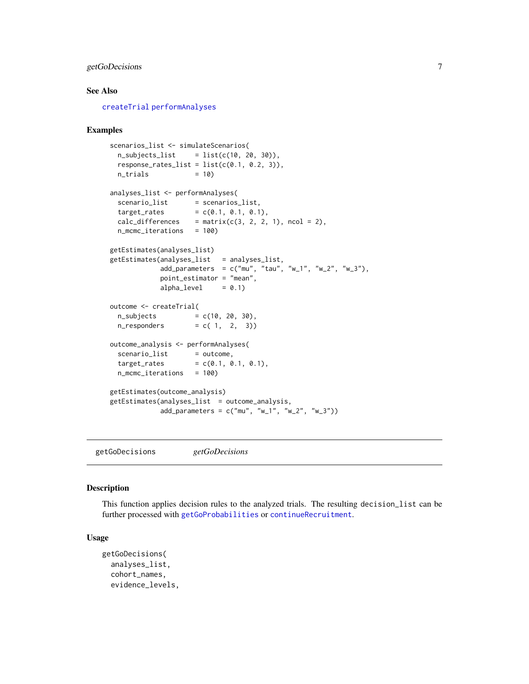# <span id="page-6-0"></span>getGoDecisions 7

#### See Also

[createTrial](#page-4-1) [performAnalyses](#page-18-1)

#### Examples

```
scenarios_list <- simulateScenarios(
 n_subjects_list = list(c(10, 20, 30)),
 response_{rates\_list} = list(c(0.1, 0.2, 3)),n_{\text{trials}} = 10)
analyses_list <- performAnalyses(
 scenario_list = scenarios_list,
 target_{rates} = c(0.1, 0.1, 0.1),calc\_differences = matrix(c(3, 2, 2, 1), ncol = 2),
 n_mcmc_iterations = 100)
getEstimates(analyses_list)
getEstimates(analyses_list = analyses_list,
            add_parameters = c("mu", "tau", "w_1", "w_2", "w_3"),
            point_estimator = "mean",
            alpha\_level = 0.1)
outcome <- createTrial(
 n\_subjects = c(10, 20, 30),
 n_{responders} = c( 1, 2, 3))
outcome_analysis <- performAnalyses(
 scenario_list = outcome,
 target_{rates} = c(0.1, 0.1, 0.1),n_mcmc_iterations = 100)
getEstimates(outcome_analysis)
getEstimates(analyses_list = outcome_analysis,
            add\_parameters = c("mu", "w_1", "w_2", "w_3"))
```
<span id="page-6-1"></span>getGoDecisions *getGoDecisions*

#### Description

This function applies decision rules to the analyzed trials. The resulting decision\_list can be further processed with [getGoProbabilities](#page-8-1) or [continueRecruitment](#page-2-1).

#### Usage

```
getGoDecisions(
  analyses_list,
  cohort_names,
  evidence_levels,
```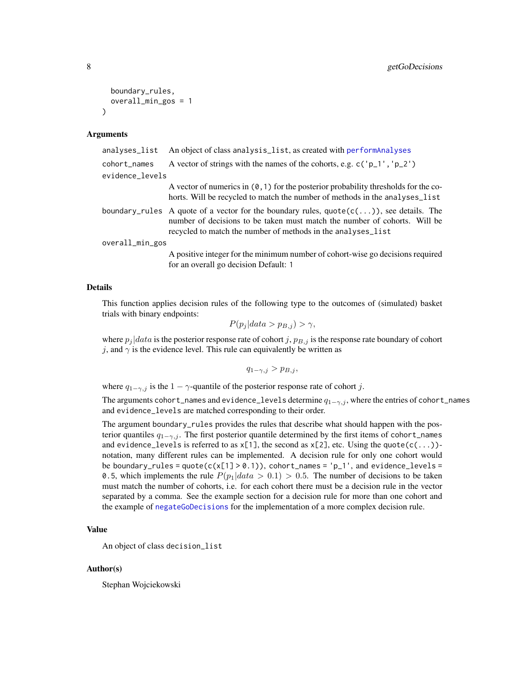```
boundary_rules,
  overall_min_gos = 1
)
```
#### Arguments

| analyses_list   | An object of class analysis_list, as created with performAnalyses                                                                                                                                                                                    |
|-----------------|------------------------------------------------------------------------------------------------------------------------------------------------------------------------------------------------------------------------------------------------------|
| cohort_names    | A vector of strings with the names of the cohorts, e.g. $c('p_1', 'p_2')$                                                                                                                                                                            |
| evidence_levels |                                                                                                                                                                                                                                                      |
|                 | A vector of numerics in $(0, 1)$ for the posterior probability thresholds for the co-<br>horts. Will be recycled to match the number of methods in the analyses_list                                                                                 |
|                 | boundary_rules A quote of a vector for the boundary rules, $\text{quote}(c(\ldots))$ , see details. The<br>number of decisions to be taken must match the number of cohorts. Will be<br>recycled to match the number of methods in the analyses_list |
| overall_min_gos |                                                                                                                                                                                                                                                      |
|                 | A positive integer for the minimum number of cohort-wise go decisions required                                                                                                                                                                       |

#### Details

This function applies decision rules of the following type to the outcomes of (simulated) basket trials with binary endpoints:

$$
P(p_j|data > p_{B,j}) > \gamma,
$$

where  $p_j | data$  is the posterior response rate of cohort j,  $p_{B,j}$  is the response rate boundary of cohort j, and  $\gamma$  is the evidence level. This rule can equivalently be written as

$$
q_{1-\gamma,j} > p_{B,j},
$$

where  $q_{1-\gamma,j}$  is the  $1-\gamma$ -quantile of the posterior response rate of cohort j.

for an overall go decision Default: 1

The arguments cohort\_names and evidence\_levels determine  $q_{1-\gamma,j}$ , where the entries of cohort\_names and evidence\_levels are matched corresponding to their order.

The argument boundary\_rules provides the rules that describe what should happen with the posterior quantiles  $q_{1-\gamma,j}$ . The first posterior quantile determined by the first items of cohort\_names and evidence\_levels is referred to as  $x[1]$ , the second as  $x[2]$ , etc. Using the quote $(c(\ldots))$ notation, many different rules can be implemented. A decision rule for only one cohort would be boundary\_rules =  $quote(c(x[1] > 0.1))$ ,  $cohort_names = 'p_1', and evidence\_levels =$ 0.5, which implements the rule  $P(p_1|data > 0.1) > 0.5$ . The number of decisions to be taken must match the number of cohorts, i.e. for each cohort there must be a decision rule in the vector separated by a comma. See the example section for a decision rule for more than one cohort and the example of [negateGoDecisions](#page-17-1) for the implementation of a more complex decision rule.

#### Value

An object of class decision\_list

#### Author(s)

Stephan Wojciekowski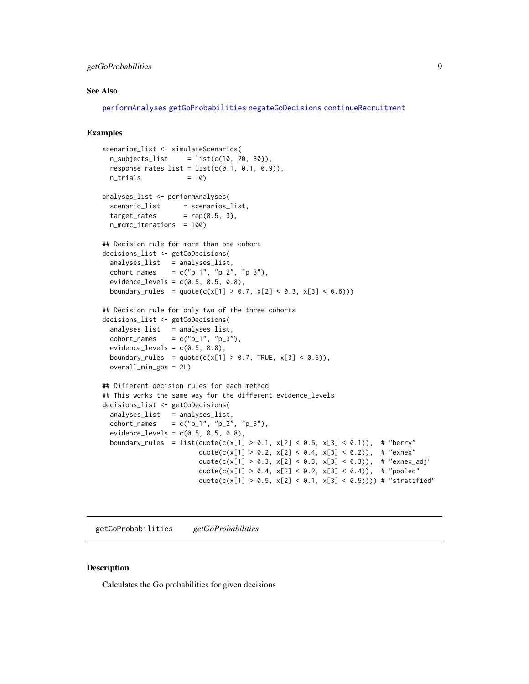# <span id="page-8-0"></span>getGoProbabilities 9

#### See Also

[performAnalyses](#page-18-1) [getGoProbabilities](#page-8-1) [negateGoDecisions](#page-17-1) [continueRecruitment](#page-2-1)

# Examples

```
scenarios_list <- simulateScenarios(
 n\_subjets\_list = list(c(10, 20, 30)),
 response_rates_list = list(c(0.1, 0.1, 0.9)),n_{\text{trials}} = 10)
analyses_list <- performAnalyses(
 scenario_list = scenarios_list,
 target_rates = rep(0.5, 3),
 n_mcmc_iterations = 100)
## Decision rule for more than one cohort
decisions_list <- getGoDecisions(
 analyses_list = analyses_list,
 cohort_names = c("p_1", "p_2", "p_3"),
 evidence\_levels = c(0.5, 0.5, 0.8),
 boundary_rules = quote(c(x[1] > 0.7, x[2] < 0.3, x[3] < 0.6)))
## Decision rule for only two of the three cohorts
decisions_list <- getGoDecisions(
 analyses_list = analyses_list,
 cohort_names = c("p_1", "p_3"),evidence_levels = c(0.5, 0.8),
 boundary_rules = quote(c(x[1] > 0.7, TRUE, x[3] < 0.6)),overall_min_gos = 2L)
## Different decision rules for each method
## This works the same way for the different evidence_levels
decisions_list <- getGoDecisions(
 analyses_list = analyses_list,
 \text{cohort\_names} = c("p_1", "p_2", "p_3"),
 evidence_levels = c(0.5, 0.5, 0.8),
 boundary_rules = list(quote(c(x[1] > 0.1, x[2] < 0.5, x[3] < 0.1)), # "berry"
                        quote(c(x[1] > 0.2, x[2] < 0.4, x[3] < 0.2)), # "exnex"
                        quote(c(x[1] > 0.3, x[2] < 0.3, x[3] < 0.3)), # "exnex_adj"
                        quote(c(x[1] > 0.4, x[2] < 0.2, x[3] < 0.4)), # "pooled"
                        quote(c(x[1] > 0.5, x[2] < 0.1, x[3] < 0.5)))) # "stratified"
```
<span id="page-8-1"></span>getGoProbabilities *getGoProbabilities*

#### **Description**

Calculates the Go probabilities for given decisions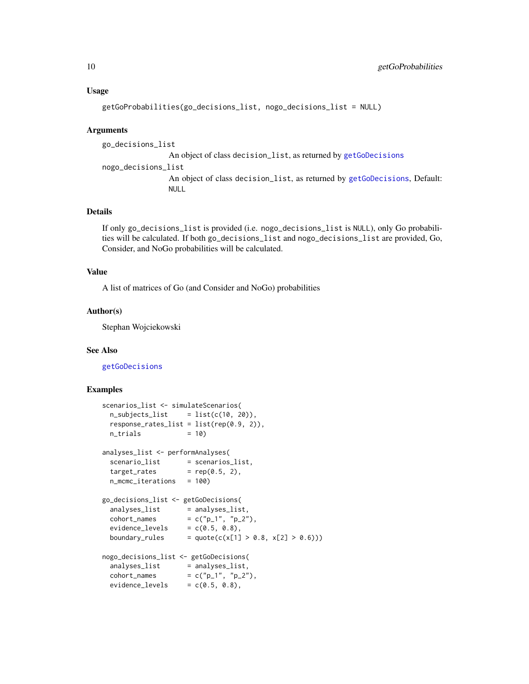#### <span id="page-9-0"></span>Usage

getGoProbabilities(go\_decisions\_list, nogo\_decisions\_list = NULL)

#### Arguments

go\_decisions\_list An object of class decision\_list, as returned by [getGoDecisions](#page-6-1) nogo\_decisions\_list An object of class decision\_list, as returned by [getGoDecisions](#page-6-1), Default: NULL

#### Details

If only go\_decisions\_list is provided (i.e. nogo\_decisions\_list is NULL), only Go probabilities will be calculated. If both go\_decisions\_list and nogo\_decisions\_list are provided, Go, Consider, and NoGo probabilities will be calculated.

# Value

A list of matrices of Go (and Consider and NoGo) probabilities

#### Author(s)

Stephan Wojciekowski

#### See Also

[getGoDecisions](#page-6-1)

```
scenarios_list <- simulateScenarios(
 n\_subjects\_list = list(c(10, 20)),response_{rates\_list} = list(rep(0.9, 2)),n_{\text{trials}} = 10)
analyses_list <- performAnalyses(
  scenario_list = scenarios_list,
  target_rates = rep(0.5, 2),n_mcmc_iterations = 100)
go_decisions_list <- getGoDecisions(
  analyses_list = analyses_list,
  cohort_names = c("p_1", "p_2"),evidence\_levels = c(0.5, 0.8),boundary_rules = quote(c(x[1] > 0.8, x[2] > 0.6)))nogo_decisions_list <- getGoDecisions(
  analyses_list = analyses_list,
  cohort_names = c("p_1", "p_2"),evidence\_levels = c(0.5, 0.8),
```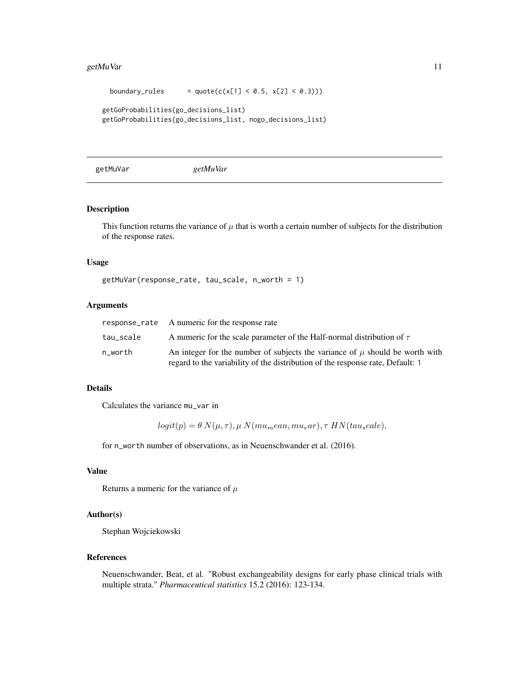#### <span id="page-10-0"></span>getMuVar 11

```
boundary_rules = quote(c(x[1] < 0.5, x[2] < 0.3)))getGoProbabilities(go_decisions_list)
getGoProbabilities(go_decisions_list, nogo_decisions_list)
```
<span id="page-10-1"></span>getMuVar *getMuVar*

# Description

This function returns the variance of  $\mu$  that is worth a certain number of subjects for the distribution of the response rates.

#### Usage

```
getMuVar(response_rate, tau_scale, n_worth = 1)
```
#### Arguments

|           | response_rate A numeric for the response rate                                                                                                                      |
|-----------|--------------------------------------------------------------------------------------------------------------------------------------------------------------------|
| tau_scale | A numeric for the scale parameter of the Half-normal distribution of $\tau$                                                                                        |
| n worth   | An integer for the number of subjects the variance of $\mu$ should be worth with<br>regard to the variability of the distribution of the response rate, Default: 1 |

#### Details

Calculates the variance mu\_var in

 $logit(p) = \theta N(\mu, \tau), \mu N(mu_mean, mu_v ar), \tau \, HN(tau_scale),$ 

for n\_worth number of observations, as in Neuenschwander et al. (2016).

#### Value

Returns a numeric for the variance of  $\mu$ 

# Author(s)

Stephan Wojciekowski

#### References

Neuenschwander, Beat, et al. "Robust exchangeability designs for early phase clinical trials with multiple strata." *Pharmaceutical statistics* 15.2 (2016): 123-134.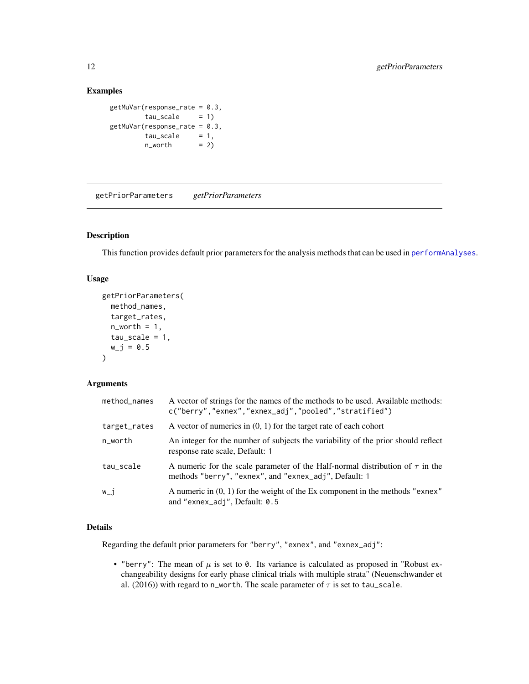# <span id="page-11-0"></span>Examples

```
getMuVar(response_rate = 0.3,
       tau\_scale = 1)
getMuVar(response_rate = 0.3,
       tau\_scale = 1,
       n_worth = 2)
```
<span id="page-11-1"></span>getPriorParameters *getPriorParameters*

#### Description

This function provides default prior parameters for the analysis methods that can be used in [performAnalyses](#page-18-1).

#### Usage

```
getPriorParameters(
 method_names,
  target_rates,
  n_worth = 1,
  tau\_scale = 1,
  w_j = 0.5)
```
# Arguments

| method_names | A vector of strings for the names of the methods to be used. Available methods:<br>c("berry","exnex","exnex_adj","pooled","stratified")     |
|--------------|---------------------------------------------------------------------------------------------------------------------------------------------|
| target_rates | A vector of numerics in $(0, 1)$ for the target rate of each cohort                                                                         |
| n_worth      | An integer for the number of subjects the variability of the prior should reflect<br>response rate scale, Default: 1                        |
| tau_scale    | A numeric for the scale parameter of the Half-normal distribution of $\tau$ in the<br>methods "berry", "exnex", and "exnex_adj", Default: 1 |
| w_i          | A numeric in $(0, 1)$ for the weight of the Ex component in the methods "exnex"<br>and "exnex_adj", Default: 0.5                            |

# Details

Regarding the default prior parameters for "berry", "exnex", and "exnex\_adj":

• "berry": The mean of  $\mu$  is set to 0. Its variance is calculated as proposed in "Robust exchangeability designs for early phase clinical trials with multiple strata" (Neuenschwander et al. (2016)) with regard to n\_worth. The scale parameter of  $\tau$  is set to tau\_scale.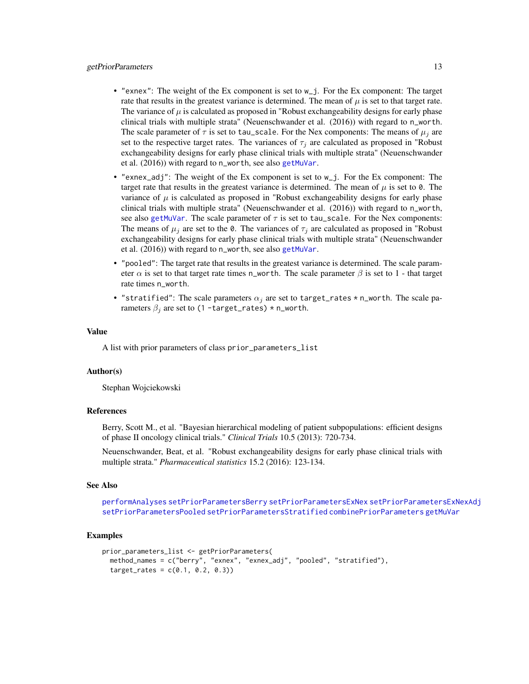#### <span id="page-12-0"></span>getPriorParameters 13

- "exnex": The weight of the Ex component is set to w\_j. For the Ex component: The target rate that results in the greatest variance is determined. The mean of  $\mu$  is set to that target rate. The variance of  $\mu$  is calculated as proposed in "Robust exchangeability designs for early phase clinical trials with multiple strata" (Neuenschwander et al. (2016)) with regard to n\_worth. The scale parameter of  $\tau$  is set to tau\_scale. For the Nex components: The means of  $\mu_j$  are set to the respective target rates. The variances of  $\tau_j$  are calculated as proposed in "Robust" exchangeability designs for early phase clinical trials with multiple strata" (Neuenschwander et al. (2016)) with regard to n\_worth, see also [getMuVar](#page-10-1).
- "exnex\_adj": The weight of the Ex component is set to w\_j. For the Ex component: The target rate that results in the greatest variance is determined. The mean of  $\mu$  is set to 0. The variance of  $\mu$  is calculated as proposed in "Robust exchangeability designs for early phase clinical trials with multiple strata" (Neuenschwander et al. (2016)) with regard to n\_worth, see also [getMuVar](#page-10-1). The scale parameter of  $\tau$  is set to tau\_scale. For the Nex components: The means of  $\mu_i$  are set to the 0. The variances of  $\tau_i$  are calculated as proposed in "Robust" exchangeability designs for early phase clinical trials with multiple strata" (Neuenschwander et al. (2016)) with regard to n\_worth, see also [getMuVar](#page-10-1).
- "pooled": The target rate that results in the greatest variance is determined. The scale parameter  $\alpha$  is set to that target rate times n\_worth. The scale parameter  $\beta$  is set to 1 - that target rate times n\_worth.
- "stratified": The scale parameters  $\alpha_j$  are set to target\_rates \* n\_worth. The scale parameters  $\beta_j$  are set to (1 -target\_rates) \* n\_worth.

#### Value

A list with prior parameters of class prior\_parameters\_list

#### Author(s)

Stephan Wojciekowski

#### References

Berry, Scott M., et al. "Bayesian hierarchical modeling of patient subpopulations: efficient designs of phase II oncology clinical trials." *Clinical Trials* 10.5 (2013): 720-734.

Neuenschwander, Beat, et al. "Robust exchangeability designs for early phase clinical trials with multiple strata." *Pharmaceutical statistics* 15.2 (2016): 123-134.

#### See Also

[performAnalyses](#page-18-1) [setPriorParametersBerry](#page-24-1) [setPriorParametersExNex](#page-25-1) [setPriorParametersExNexAdj](#page-26-1) [setPriorParametersPooled](#page-27-1) [setPriorParametersStratified](#page-28-1) [combinePriorParameters](#page-1-1) [getMuVar](#page-10-1)

```
prior_parameters_list <- getPriorParameters(
 method_names = c("berry", "exnex", "exnex_adj", "pooled", "stratified"),
  target_{rates} = c(0.1, 0.2, 0.3)
```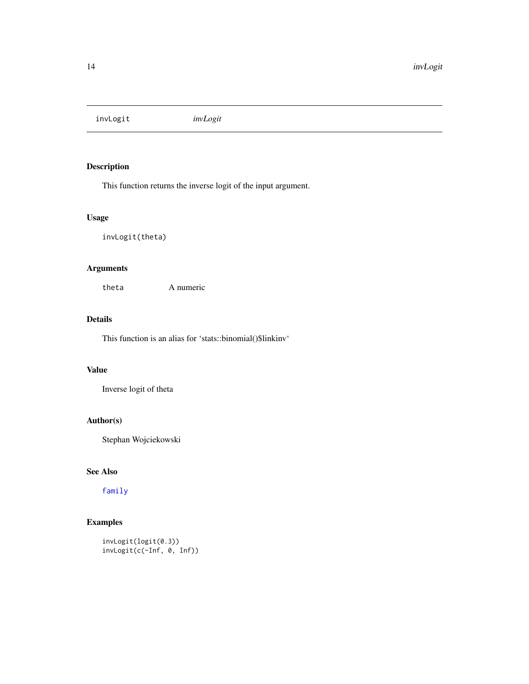<span id="page-13-0"></span>invLogit *invLogit*

# Description

This function returns the inverse logit of the input argument.

# Usage

invLogit(theta)

# Arguments

theta A numeric

# Details

This function is an alias for 'stats::binomial()\$linkinv'

# Value

Inverse logit of theta

# Author(s)

Stephan Wojciekowski

# See Also

[family](#page-0-0)

# Examples

invLogit(logit(0.3)) invLogit(c(-Inf, 0, Inf))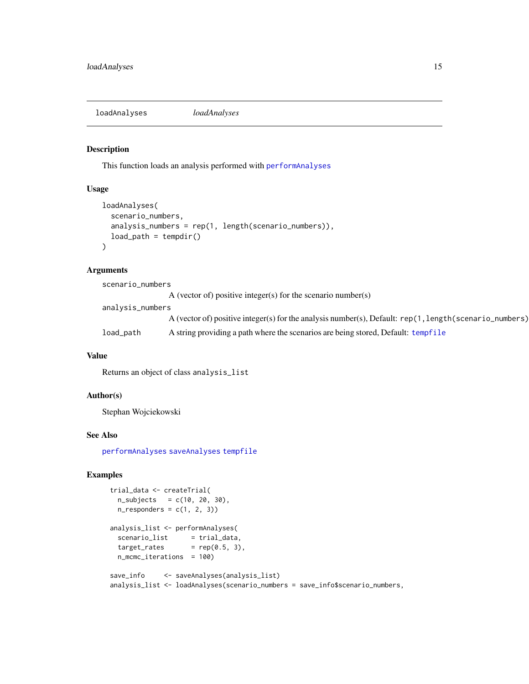<span id="page-14-1"></span><span id="page-14-0"></span>loadAnalyses *loadAnalyses*

### Description

This function loads an analysis performed with [performAnalyses](#page-18-1)

#### Usage

```
loadAnalyses(
  scenario_numbers,
  analysis_numbers = rep(1, length(scenario_numbers)),
  load_path = tempdir()
\mathcal{L}
```
# Arguments

| scenario_numbers |                                                                                                            |
|------------------|------------------------------------------------------------------------------------------------------------|
|                  | A (vector of) positive integer(s) for the scenario number(s)                                               |
| analysis_numbers |                                                                                                            |
|                  | A (vector of) positive integer(s) for the analysis number(s), Default: $rep(1, length(scenario\_numbers))$ |
| load_path        | A string providing a path where the scenarios are being stored, Default: tempfile                          |

# Value

Returns an object of class analysis\_list

# Author(s)

Stephan Wojciekowski

#### See Also

[performAnalyses](#page-18-1) [saveAnalyses](#page-21-1) [tempfile](#page-0-0)

```
trial_data <- createTrial(
 n\_subjects = c(10, 20, 30),n_{responders} = c(1, 2, 3)analysis_list <- performAnalyses(
 scenario_list = trial_data,
 target_rates = rep(0.5, 3),n_mcmc_iterations = 100)
save_info <- saveAnalyses(analysis_list)
analysis_list <- loadAnalyses(scenario_numbers = save_info$scenario_numbers,
```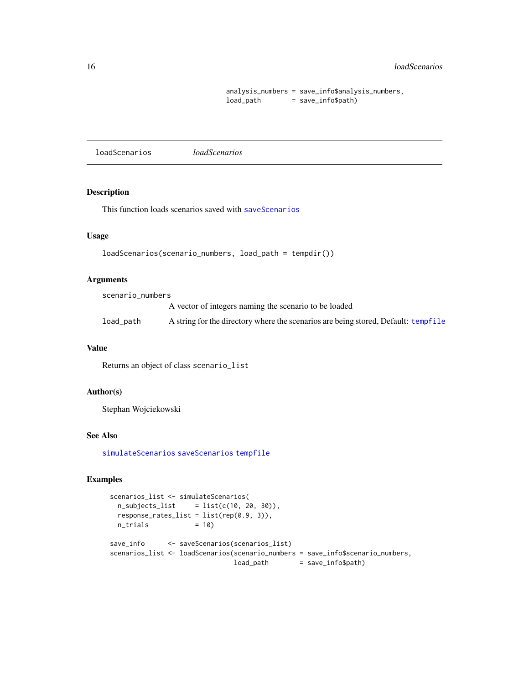#### <span id="page-15-0"></span>16 loadScenarios de la completa de la completa de la completa de la completa de la completa de la completa de la completa de la completa de la completa de la completa de la completa de la completa de la completa de la comp

```
analysis_numbers = save_info$analysis_numbers,
load_path = save_info$path)
```
<span id="page-15-1"></span>loadScenarios *loadScenarios*

### Description

This function loads scenarios saved with [saveScenarios](#page-22-1)

#### Usage

```
loadScenarios(scenario_numbers, load_path = tempdir())
```
# Arguments

scenario\_numbers

A vector of integers naming the scenario to be loaded

load\_path A string for the directory where the scenarios are being stored, Default: [tempfile](#page-0-0)

# Value

Returns an object of class scenario\_list

#### Author(s)

Stephan Wojciekowski

#### See Also

[simulateScenarios](#page-29-1) [saveScenarios](#page-22-1) [tempfile](#page-0-0)

```
scenarios_list <- simulateScenarios(
 n\_subjets\_list = list(c(10, 20, 30)),
 response_rates_list = list(rep(0.9, 3)),
 n_{\text{trials}} = 10)
save_info <- saveScenarios(scenarios_list)
scenarios_list <- loadScenarios(scenario_numbers = save_info$scenario_numbers,
                              load_path = save_info$path)
```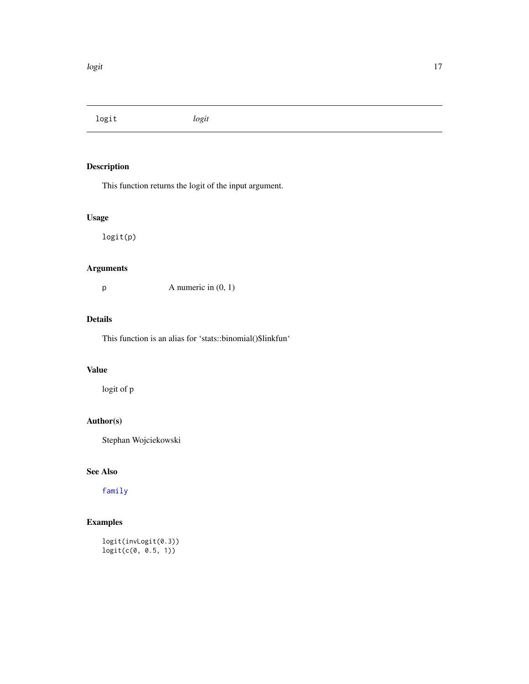<span id="page-16-0"></span>logit *logit*

# Description

This function returns the logit of the input argument.

# Usage

logit(p)

# Arguments

 $p$  A numeric in  $(0, 1)$ 

# Details

This function is an alias for 'stats::binomial()\$linkfun'

# Value

logit of p

# Author(s)

Stephan Wojciekowski

# See Also

[family](#page-0-0)

# Examples

logit(invLogit(0.3)) logit(c(0, 0.5, 1))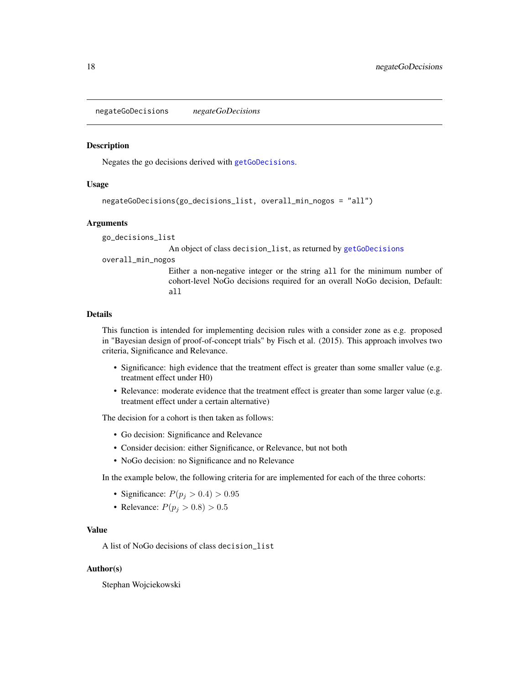<span id="page-17-1"></span><span id="page-17-0"></span>negateGoDecisions *negateGoDecisions*

#### **Description**

Negates the go decisions derived with [getGoDecisions](#page-6-1).

#### Usage

```
negateGoDecisions(go_decisions_list, overall_min_nogos = "all")
```
#### Arguments

go\_decisions\_list

An object of class decision\_list, as returned by [getGoDecisions](#page-6-1)

overall\_min\_nogos

Either a non-negative integer or the string all for the minimum number of cohort-level NoGo decisions required for an overall NoGo decision, Default: all

### Details

This function is intended for implementing decision rules with a consider zone as e.g. proposed in "Bayesian design of proof-of-concept trials" by Fisch et al. (2015). This approach involves two criteria, Significance and Relevance.

- Significance: high evidence that the treatment effect is greater than some smaller value (e.g. treatment effect under H0)
- Relevance: moderate evidence that the treatment effect is greater than some larger value (e.g. treatment effect under a certain alternative)

The decision for a cohort is then taken as follows:

- Go decision: Significance and Relevance
- Consider decision: either Significance, or Relevance, but not both
- NoGo decision: no Significance and no Relevance

In the example below, the following criteria for are implemented for each of the three cohorts:

- Significance:  $P(p_j > 0.4) > 0.95$
- Relevance:  $P(p_i > 0.8) > 0.5$

#### Value

A list of NoGo decisions of class decision\_list

#### Author(s)

Stephan Wojciekowski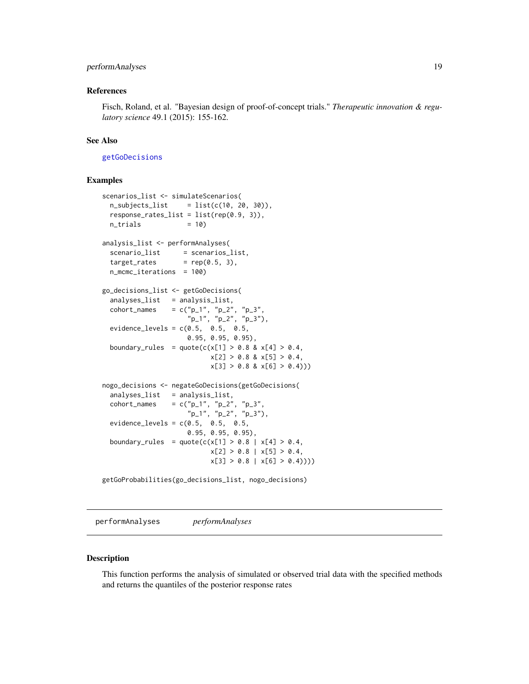# <span id="page-18-0"></span>performAnalyses 19

#### References

Fisch, Roland, et al. "Bayesian design of proof-of-concept trials." *Therapeutic innovation & regulatory science* 49.1 (2015): 155-162.

#### See Also

[getGoDecisions](#page-6-1)

#### Examples

```
scenarios_list <- simulateScenarios(
 n\_subjets\_list = list(c(10, 20, 30)),
 response_rates_list = list(rep(0.9, 3)),
 n_{\text{trials}} = 10)
analysis_list <- performAnalyses(
 scenario_list = scenarios_list,
 target_rates = rep(0.5, 3),
 n_mcmc_iterations = 100)
go_decisions_list <- getGoDecisions(
 analyses_list = analysis_list,
  cohort_names = c("p_1", "p_2", "p_3","p_1", "p_2", "p_3"),
 evidence_levels = c(0.5, 0.5, 0.5,0.95, 0.95, 0.95),
 boundary_rules = quote(c(x[1] > 0.8 \& x[4] > 0.4,x[2] > 0.8 & x[5] > 0.4,
                           x[3] > 0.8 & x[6] > 0.4))
nogo_decisions <- negateGoDecisions(getGoDecisions(
 analyses_list = analysis_list,
  cohort_names = c("p_1", "p_2", "p_3","p_1", "p_2", "p_3"),
 evidence_levels = c(0.5, 0.5, 0.5,0.95, 0.95, 0.95),
 boundary_rules = quote(c(x[1] > 0.8 | x[4] > 0.4,x[2] > 0.8 \mid x[5] > 0.4,
                           x[3] > 0.8 | x[6] > 0.4))getGoProbabilities(go_decisions_list, nogo_decisions)
```
<span id="page-18-1"></span>performAnalyses *performAnalyses*

#### Description

This function performs the analysis of simulated or observed trial data with the specified methods and returns the quantiles of the posterior response rates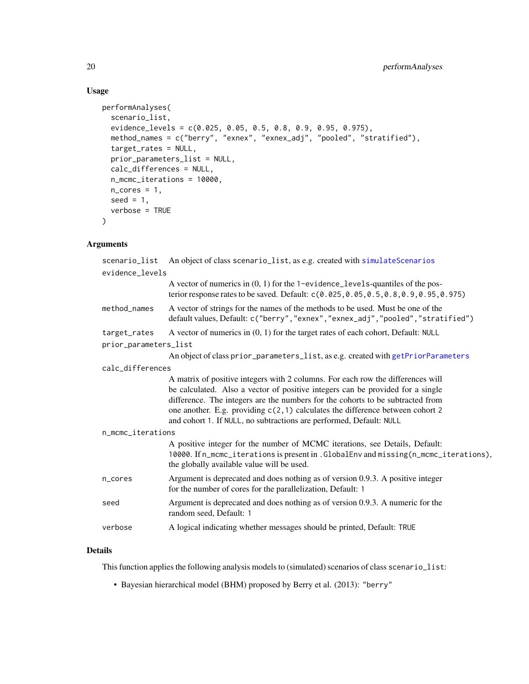# Usage

```
performAnalyses(
  scenario_list,
  evidence_levels = c(0.025, 0.05, 0.5, 0.8, 0.9, 0.95, 0.975),
 method_names = c("berry", "exnex", "exnex_adj", "pooled", "stratified"),
  target_rates = NULL,
 prior_parameters_list = NULL,
  calc_differences = NULL,
 n_mcmc_iterations = 10000,
 n\_cores = 1,seed = 1,
 verbose = TRUE
\mathcal{L}
```
# Arguments

| scenario_list         | An object of class scenario_list, as e.g. created with simulateScenarios                                                                                                                                                                                                                                                                                                                                    |  |
|-----------------------|-------------------------------------------------------------------------------------------------------------------------------------------------------------------------------------------------------------------------------------------------------------------------------------------------------------------------------------------------------------------------------------------------------------|--|
| evidence_levels       |                                                                                                                                                                                                                                                                                                                                                                                                             |  |
|                       | A vector of numerics in $(0, 1)$ for the 1-evidence_levels-quantiles of the pos-<br>terior response rates to be saved. Default: c(0.025,0.05,0.5,0.8,0.9,0.95,0.975)                                                                                                                                                                                                                                        |  |
| method_names          | A vector of strings for the names of the methods to be used. Must be one of the<br>default values, Default: c("berry", "exnex", "exnex_adj", "pooled", "stratified")                                                                                                                                                                                                                                        |  |
| target_rates          | A vector of numerics in $(0, 1)$ for the target rates of each cohort, Default: NULL                                                                                                                                                                                                                                                                                                                         |  |
| prior_parameters_list |                                                                                                                                                                                                                                                                                                                                                                                                             |  |
|                       | An object of class prior_parameters_list, as e.g. created with getPriorParameters                                                                                                                                                                                                                                                                                                                           |  |
| calc_differences      |                                                                                                                                                                                                                                                                                                                                                                                                             |  |
|                       | A matrix of positive integers with 2 columns. For each row the differences will<br>be calculated. Also a vector of positive integers can be provided for a single<br>difference. The integers are the numbers for the cohorts to be subtracted from<br>one another. E.g. providing c(2,1) calculates the difference between cohort 2<br>and cohort 1. If NULL, no subtractions are performed, Default: NULL |  |
| n_mcmc_iterations     |                                                                                                                                                                                                                                                                                                                                                                                                             |  |
|                       | A positive integer for the number of MCMC iterations, see Details, Default:<br>10000. If n_mcmc_iterations is present in . GlobalEnv and missing (n_mcmc_iterations),<br>the globally available value will be used.                                                                                                                                                                                         |  |
| n_cores               | Argument is deprecated and does nothing as of version 0.9.3. A positive integer<br>for the number of cores for the parallelization, Default: 1                                                                                                                                                                                                                                                              |  |
| seed                  | Argument is deprecated and does nothing as of version 0.9.3. A numeric for the<br>random seed, Default: 1                                                                                                                                                                                                                                                                                                   |  |
| verbose               | A logical indicating whether messages should be printed, Default: TRUE                                                                                                                                                                                                                                                                                                                                      |  |
|                       |                                                                                                                                                                                                                                                                                                                                                                                                             |  |

# Details

This function applies the following analysis models to (simulated) scenarios of class scenario\_list:

• Bayesian hierarchical model (BHM) proposed by Berry et al. (2013): "berry"

<span id="page-19-0"></span>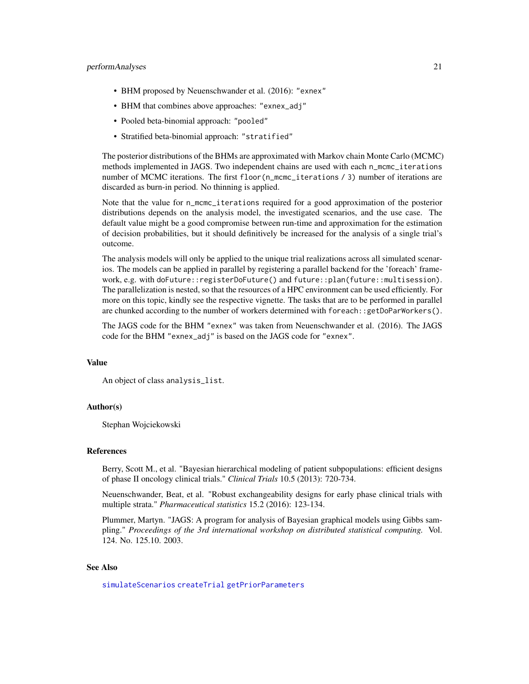#### <span id="page-20-0"></span>performAnalyses 21

- BHM proposed by Neuenschwander et al. (2016): "exnex"
- BHM that combines above approaches: "exnex\_adj"
- Pooled beta-binomial approach: "pooled"
- Stratified beta-binomial approach: "stratified"

The posterior distributions of the BHMs are approximated with Markov chain Monte Carlo (MCMC) methods implemented in JAGS. Two independent chains are used with each n\_mcmc\_iterations number of MCMC iterations. The first floor (n\_mcmc\_iterations / 3) number of iterations are discarded as burn-in period. No thinning is applied.

Note that the value for n\_mcmc\_iterations required for a good approximation of the posterior distributions depends on the analysis model, the investigated scenarios, and the use case. The default value might be a good compromise between run-time and approximation for the estimation of decision probabilities, but it should definitively be increased for the analysis of a single trial's outcome.

The analysis models will only be applied to the unique trial realizations across all simulated scenarios. The models can be applied in parallel by registering a parallel backend for the 'foreach' framework, e.g. with doFuture::registerDoFuture() and future::plan(future::multisession). The parallelization is nested, so that the resources of a HPC environment can be used efficiently. For more on this topic, kindly see the respective vignette. The tasks that are to be performed in parallel are chunked according to the number of workers determined with foreach::getDoParWorkers().

The JAGS code for the BHM "exnex" was taken from Neuenschwander et al. (2016). The JAGS code for the BHM "exnex\_adj" is based on the JAGS code for "exnex".

#### Value

An object of class analysis\_list.

#### Author(s)

Stephan Wojciekowski

#### References

Berry, Scott M., et al. "Bayesian hierarchical modeling of patient subpopulations: efficient designs of phase II oncology clinical trials." *Clinical Trials* 10.5 (2013): 720-734.

Neuenschwander, Beat, et al. "Robust exchangeability designs for early phase clinical trials with multiple strata." *Pharmaceutical statistics* 15.2 (2016): 123-134.

Plummer, Martyn. "JAGS: A program for analysis of Bayesian graphical models using Gibbs sampling." *Proceedings of the 3rd international workshop on distributed statistical computing.* Vol. 124. No. 125.10. 2003.

#### See Also

[simulateScenarios](#page-29-1) [createTrial](#page-4-1) [getPriorParameters](#page-11-1)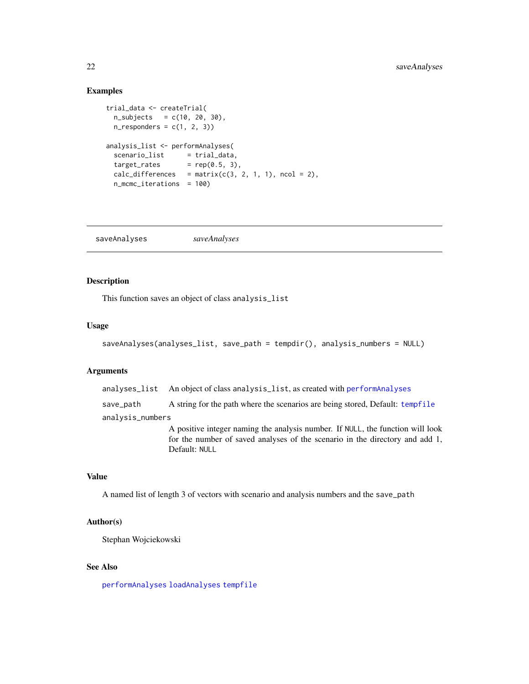# <span id="page-21-0"></span>Examples

```
trial_data <- createTrial(
 n\_subjects = c(10, 20, 30),n_{responders} = c(1, 2, 3)analysis_list <- performAnalyses(
 scenario_list = trial_data,
 target_rates = rep(0.5, 3),calc\_differences = matrix(c(3, 2, 1, 1), ncol = 2),n_mcmc_iterations = 100)
```
<span id="page-21-1"></span>saveAnalyses *saveAnalyses*

# Description

This function saves an object of class analysis\_list

#### Usage

```
saveAnalyses(analyses_list, save_path = tempdir(), analysis_numbers = NULL)
```
# Arguments

analyses\_list An object of class analysis\_list, as created with [performAnalyses](#page-18-1) save\_path A string for the path where the scenarios are being stored, Default: [tempfile](#page-0-0) analysis\_numbers A positive integer naming the analysis number. If NULL, the function will look

for the number of saved analyses of the scenario in the directory and add 1, Default: NULL

# Value

A named list of length 3 of vectors with scenario and analysis numbers and the save\_path

#### Author(s)

Stephan Wojciekowski

#### See Also

[performAnalyses](#page-18-1) [loadAnalyses](#page-14-1) [tempfile](#page-0-0)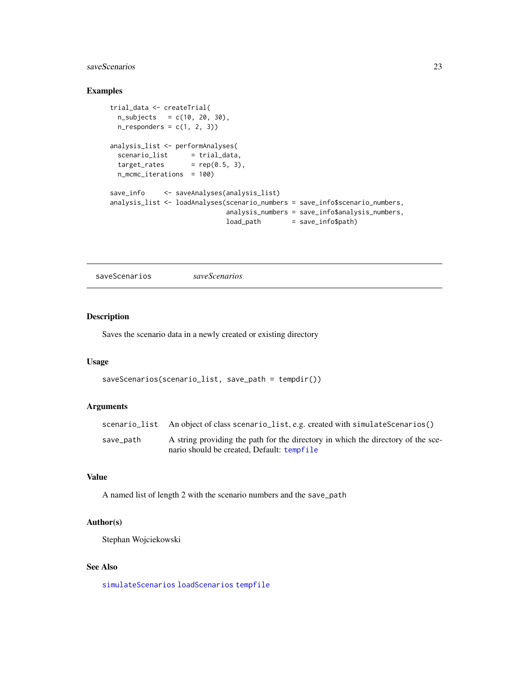# <span id="page-22-0"></span>saveScenarios 23

# Examples

```
trial_data <- createTrial(
 n\_subjects = c(10, 20, 30),n_responders = c(1, 2, 3)analysis_list <- performAnalyses(
 scenario_list = trial_data,
 target\_rates = rep(0.5, 3),
 n_mcmc_iterations = 100)
save_info <- saveAnalyses(analysis_list)
analysis_list <- loadAnalyses(scenario_numbers = save_info$scenario_numbers,
                            analysis_numbers = save_info$analysis_numbers,
                            load_path = save_info$path)
```
<span id="page-22-1"></span>saveScenarios *saveScenarios*

#### Description

Saves the scenario data in a newly created or existing directory

# Usage

```
saveScenarios(scenario_list, save_path = tempdir())
```
# Arguments

|           | scenario_list An object of class scenario_list, e.g. created with simulateScenarios() |
|-----------|---------------------------------------------------------------------------------------|
| save_path | A string providing the path for the directory in which the directory of the sce-      |
|           | nario should be created. Default: tempfile                                            |

# Value

A named list of length 2 with the scenario numbers and the save\_path

# Author(s)

Stephan Wojciekowski

# See Also

[simulateScenarios](#page-29-1) [loadScenarios](#page-15-1) [tempfile](#page-0-0)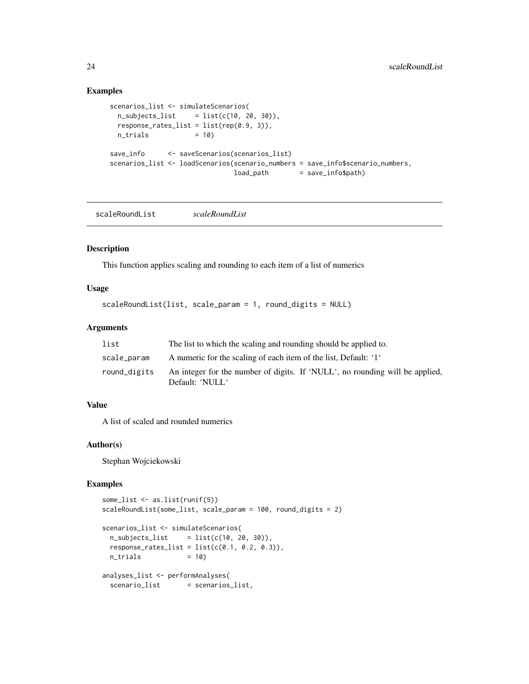# Examples

```
scenarios_list <- simulateScenarios(
 n\_subjects\_list = list(c(10, 20, 30)),response_{\text{rates}\_list} = list(rep(0.9, 3)),n_{\text{trials}} = 10)
save_info <- saveScenarios(scenarios_list)
scenarios_list <- loadScenarios(scenario_numbers = save_info$scenario_numbers,
                               load_path = save_info$path)
```
scaleRoundList *scaleRoundList*

# Description

This function applies scaling and rounding to each item of a list of numerics

# Usage

```
scaleRoundList(list, scale_param = 1, round_digits = NULL)
```
# Arguments

| list         | The list to which the scaling and rounding should be applied to.                                |
|--------------|-------------------------------------------------------------------------------------------------|
| scale_param  | A numeric for the scaling of each item of the list, Default: '1'                                |
| round_digits | An integer for the number of digits. If 'NULL', no rounding will be applied,<br>Default: 'NULL' |

# Value

A list of scaled and rounded numerics

#### Author(s)

Stephan Wojciekowski

```
some_list <- as.list(runif(5))
scaleRoundList(some_list, scale_param = 100, round_digits = 2)
scenarios_list <- simulateScenarios(
 n\_subjects\_list = list(c(10, 20, 30)),response\_rates\_list = list(c(0.1, 0.2, 0.3)),n_{\text{trials}} = 10)
analyses_list <- performAnalyses(
 scenario_list = scenarios_list,
```
<span id="page-23-0"></span>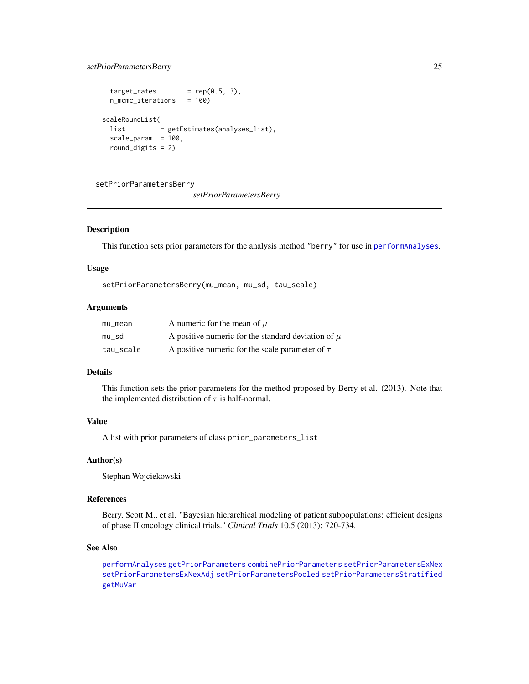# <span id="page-24-0"></span>setPriorParametersBerry 25

```
target_rates = rep(0.5, 3),
 n_mcmc_iterations = 100)
scaleRoundList(
 list = getEstimates(analyses_list),
 scale_param = 100,
 round_digits = 2)
```
<span id="page-24-1"></span>setPriorParametersBerry

*setPriorParametersBerry*

#### Description

This function sets prior parameters for the analysis method "berry" for use in [performAnalyses](#page-18-1).

#### Usage

setPriorParametersBerry(mu\_mean, mu\_sd, tau\_scale)

#### Arguments

| mu_mean   | A numeric for the mean of $\mu$                        |
|-----------|--------------------------------------------------------|
| mu_sd     | A positive numeric for the standard deviation of $\mu$ |
| tau_scale | A positive numeric for the scale parameter of $\tau$   |

#### Details

This function sets the prior parameters for the method proposed by Berry et al. (2013). Note that the implemented distribution of  $\tau$  is half-normal.

#### Value

A list with prior parameters of class prior\_parameters\_list

#### Author(s)

Stephan Wojciekowski

# References

Berry, Scott M., et al. "Bayesian hierarchical modeling of patient subpopulations: efficient designs of phase II oncology clinical trials." *Clinical Trials* 10.5 (2013): 720-734.

# See Also

[performAnalyses](#page-18-1) [getPriorParameters](#page-11-1) [combinePriorParameters](#page-1-1) [setPriorParametersExNex](#page-25-1) [setPriorParametersExNexAdj](#page-26-1) [setPriorParametersPooled](#page-27-1) [setPriorParametersStratified](#page-28-1) [getMuVar](#page-10-1)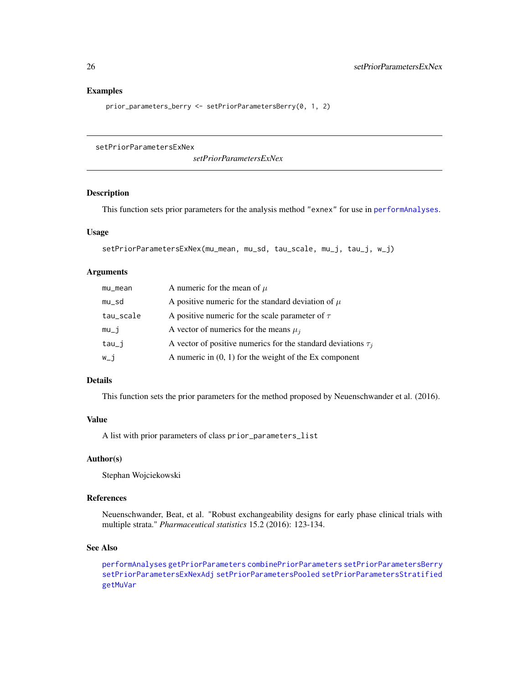#### Examples

prior\_parameters\_berry <- setPriorParametersBerry(0, 1, 2)

<span id="page-25-1"></span>setPriorParametersExNex

*setPriorParametersExNex*

# Description

This function sets prior parameters for the analysis method "exnex" for use in [performAnalyses](#page-18-1).

#### Usage

```
setPriorParametersExNex(mu_mean, mu_sd, tau_scale, mu_j, tau_j, w_j)
```
# Arguments

| mu_mean   | A numeric for the mean of $\mu$                                    |
|-----------|--------------------------------------------------------------------|
| mu_sd     | A positive numeric for the standard deviation of $\mu$             |
| tau_scale | A positive numeric for the scale parameter of $\tau$               |
| $mu_i$    | A vector of numerics for the means $\mu_i$                         |
| $tau_j$   | A vector of positive numerics for the standard deviations $\tau_i$ |
| $W_i$ j   | A numeric in $(0, 1)$ for the weight of the Ex component           |

# Details

This function sets the prior parameters for the method proposed by Neuenschwander et al. (2016).

#### Value

A list with prior parameters of class prior\_parameters\_list

#### Author(s)

Stephan Wojciekowski

# References

Neuenschwander, Beat, et al. "Robust exchangeability designs for early phase clinical trials with multiple strata." *Pharmaceutical statistics* 15.2 (2016): 123-134.

#### See Also

[performAnalyses](#page-18-1) [getPriorParameters](#page-11-1) [combinePriorParameters](#page-1-1) [setPriorParametersBerry](#page-24-1) [setPriorParametersExNexAdj](#page-26-1) [setPriorParametersPooled](#page-27-1) [setPriorParametersStratified](#page-28-1) [getMuVar](#page-10-1)

<span id="page-25-0"></span>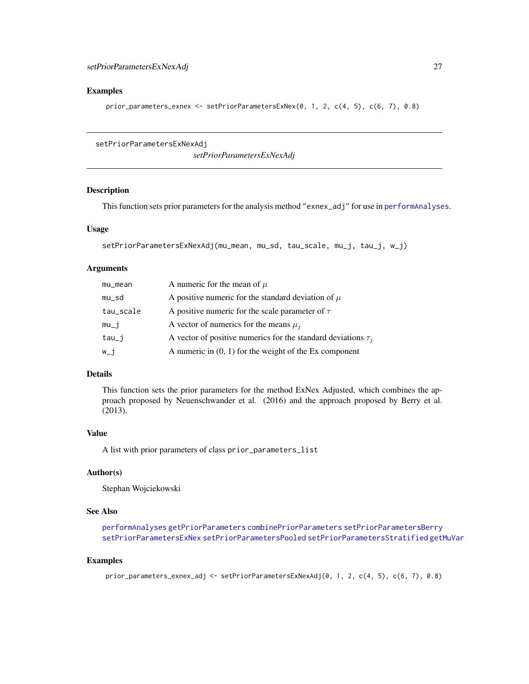#### <span id="page-26-0"></span>Examples

```
prior_parameters_exnex <- setPriorParametersExNex(0, 1, 2, c(4, 5), c(6, 7), 0.8)
```

```
setPriorParametersExNexAdj
```
*setPriorParametersExNexAdj*

# Description

This function sets prior parameters for the analysis method "exnex\_adj" for use in [performAnalyses](#page-18-1).

# Usage

```
setPriorParametersExNexAdj(mu_mean, mu_sd, tau_scale, mu_j, tau_j, w_j)
```
#### Arguments

| mu_mean   | A numeric for the mean of $\mu$                                    |
|-----------|--------------------------------------------------------------------|
| mu_sd     | A positive numeric for the standard deviation of $\mu$             |
| tau_scale | A positive numeric for the scale parameter of $\tau$               |
| $mu_j$    | A vector of numerics for the means $\mu_i$                         |
| tau_j     | A vector of positive numerics for the standard deviations $\tau_i$ |
| $W_i$ j   | A numeric in $(0, 1)$ for the weight of the Ex component           |

#### Details

This function sets the prior parameters for the method ExNex Adjusted, which combines the approach proposed by Neuenschwander et al. (2016) and the approach proposed by Berry et al. (2013).

# Value

A list with prior parameters of class prior\_parameters\_list

#### Author(s)

Stephan Wojciekowski

# See Also

[performAnalyses](#page-18-1) [getPriorParameters](#page-11-1) [combinePriorParameters](#page-1-1) [setPriorParametersBerry](#page-24-1) [setPriorParametersExNex](#page-25-1) [setPriorParametersPooled](#page-27-1) [setPriorParametersStratified](#page-28-1) [getMuVar](#page-10-1)

```
prior_parameters_exnex_adj <- setPriorParametersExNexAdj(0, 1, 2, c(4, 5), c(6, 7), 0.8)
```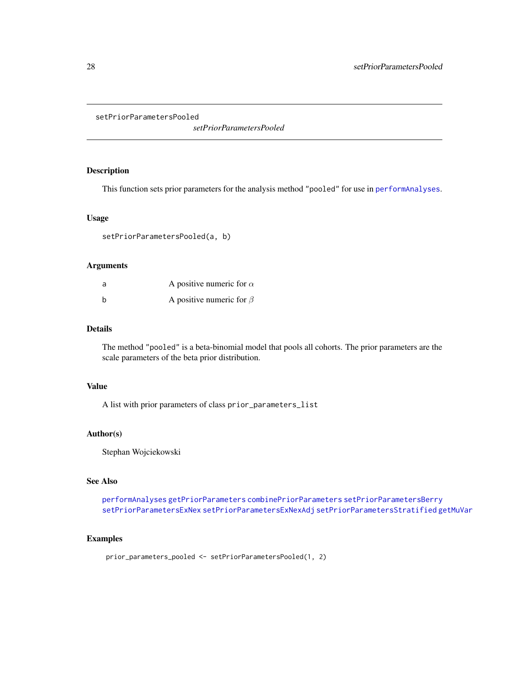<span id="page-27-1"></span><span id="page-27-0"></span>setPriorParametersPooled

*setPriorParametersPooled*

# Description

This function sets prior parameters for the analysis method "pooled" for use in [performAnalyses](#page-18-1).

#### Usage

setPriorParametersPooled(a, b)

# Arguments

| a | A positive numeric for $\alpha$ |
|---|---------------------------------|
| b | A positive numeric for $\beta$  |

#### Details

The method "pooled" is a beta-binomial model that pools all cohorts. The prior parameters are the scale parameters of the beta prior distribution.

# Value

A list with prior parameters of class prior\_parameters\_list

# Author(s)

Stephan Wojciekowski

# See Also

[performAnalyses](#page-18-1) [getPriorParameters](#page-11-1) [combinePriorParameters](#page-1-1) [setPriorParametersBerry](#page-24-1) [setPriorParametersExNex](#page-25-1) [setPriorParametersExNexAdj](#page-26-1) [setPriorParametersStratified](#page-28-1) [getMuVar](#page-10-1)

### Examples

prior\_parameters\_pooled <- setPriorParametersPooled(1, 2)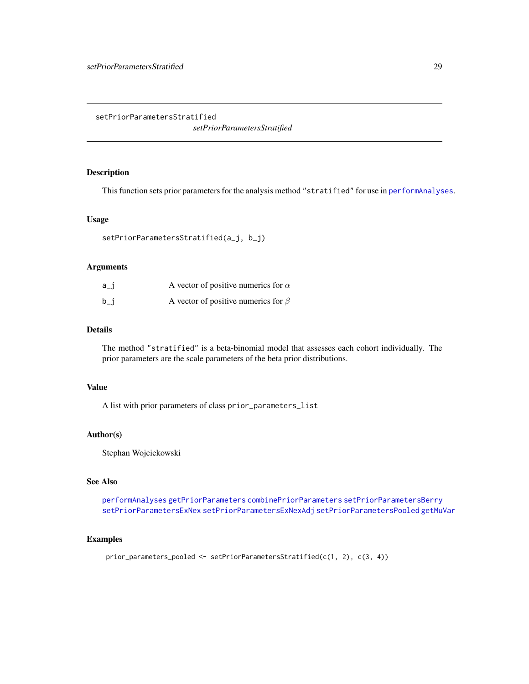<span id="page-28-1"></span><span id="page-28-0"></span>setPriorParametersStratified

*setPriorParametersStratified*

# Description

This function sets prior parameters for the analysis method "stratified" for use in [performAnalyses](#page-18-1).

# Usage

```
setPriorParametersStratified(a_j, b_j)
```
# Arguments

| a_i | A vector of positive numerics for $\alpha$ |  |
|-----|--------------------------------------------|--|
| b_i | A vector of positive numerics for $\beta$  |  |

# Details

The method "stratified" is a beta-binomial model that assesses each cohort individually. The prior parameters are the scale parameters of the beta prior distributions.

# Value

A list with prior parameters of class prior\_parameters\_list

# Author(s)

Stephan Wojciekowski

# See Also

[performAnalyses](#page-18-1) [getPriorParameters](#page-11-1) [combinePriorParameters](#page-1-1) [setPriorParametersBerry](#page-24-1) [setPriorParametersExNex](#page-25-1) [setPriorParametersExNexAdj](#page-26-1) [setPriorParametersPooled](#page-27-1) [getMuVar](#page-10-1)

#### Examples

prior\_parameters\_pooled <- setPriorParametersStratified(c(1, 2), c(3, 4))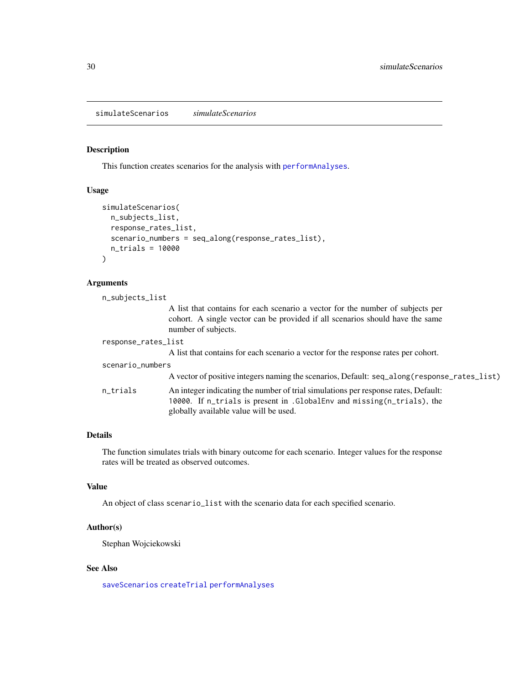<span id="page-29-1"></span><span id="page-29-0"></span>simulateScenarios *simulateScenarios*

### Description

This function creates scenarios for the analysis with [performAnalyses](#page-18-1).

# Usage

```
simulateScenarios(
 n_subjects_list,
  response_rates_list,
  scenario_numbers = seq_along(response_rates_list),
  n_trials = 10000
)
```
# Arguments

| n_subjects_list     |                                                                                                                                                                                                          |  |
|---------------------|----------------------------------------------------------------------------------------------------------------------------------------------------------------------------------------------------------|--|
|                     | A list that contains for each scenario a vector for the number of subjects per<br>cohort. A single vector can be provided if all scenarios should have the same<br>number of subjects.                   |  |
| response_rates_list |                                                                                                                                                                                                          |  |
|                     | A list that contains for each scenario a vector for the response rates per cohort.                                                                                                                       |  |
| scenario_numbers    |                                                                                                                                                                                                          |  |
|                     | A vector of positive integers naming the scenarios, Default: seq_along(response_rates_list)                                                                                                              |  |
| n_trials            | An integer indicating the number of trial simulations per response rates, Default:<br>10000. If n_trials is present in . GlobalEnv and missing (n_trials), the<br>globally available value will be used. |  |

# Details

The function simulates trials with binary outcome for each scenario. Integer values for the response rates will be treated as observed outcomes.

#### Value

An object of class scenario\_list with the scenario data for each specified scenario.

#### Author(s)

Stephan Wojciekowski

#### See Also

[saveScenarios](#page-22-1) [createTrial](#page-4-1) [performAnalyses](#page-18-1)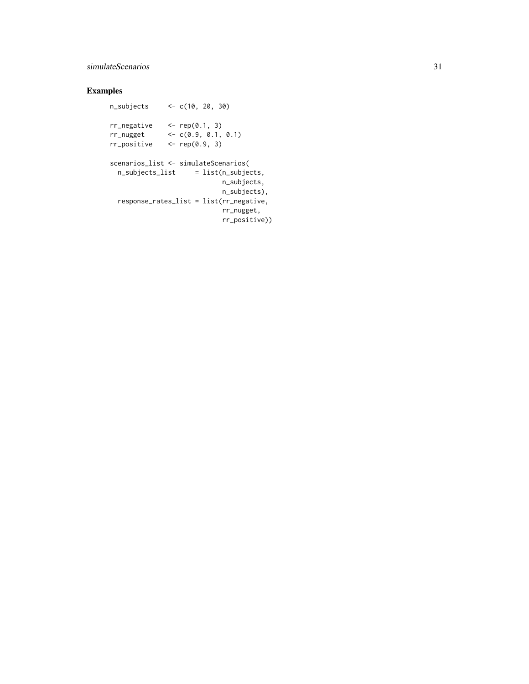# simulateScenarios 31

```
n_subjects <- c(10, 20, 30)
rr\_negative <- rep(0.1, 3)rr\_nugget <- c(0.9, 0.1, 0.1)rr\_positive <- rep(0.9, 3)scenarios_list <- simulateScenarios(
 n\_subjects\_list = list(n\_subjects,
                           n_subjects,
                           n_subjects),
 response_rates_list = list(rr_negative,
                           rr_nugget,
                           rr_positive))
```